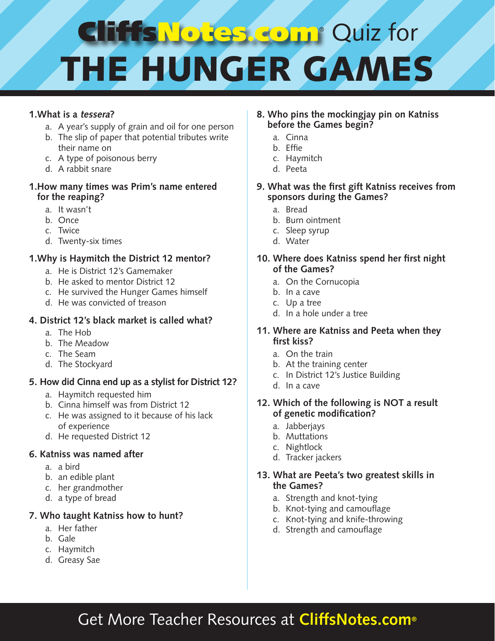# **CITH's Notes Com® Quiz for** THE HUNGER GAM

### **1.What is a tessera?**

- a. A year's supply of grain and oil for one person
- b. The slip of paper that potential tributes write their name on
- c. A type of poisonous berry
- d. A rabbit snare

#### **1.How many times was Prim's name entered for the reaping?**

- a. It wasn't
- b. Once
- c. Twice
- d. Twenty-six times

#### **1.Why is Haymitch the District 12 mentor?**

- a. He is District 12's Gamemaker
- b. He asked to mentor District 12
- c. He survived the Hunger Games himself
- d. He was convicted of treason

#### **4. District 12's black market is called what?**

- a. The Hob
- b. The Meadow
- c. The Seam
- d. The Stockyard

#### **5. How did Cinna end up as a stylist for District 12?**

- a. Haymitch requested him
- b. Cinna himself was from District 12
- c. He was assigned to it because of his lack of experience
- d. He requested District 12

#### **6. Katniss was named after**

- a. a bird
- b. an edible plant
- c. her grandmother
- d. a type of bread

#### **7. Who taught Katniss how to hunt?**

- a. Her father
- b. Gale
- c. Haymitch
- d. Greasy Sae

#### **8. Who pins the mockingjay pin on Katniss before the Games begin?**

- a. Cinna
- b. Effie
- c. Haymitch
- d. Peeta
- **9. What was the first gift Katniss receives from sponsors during the Games?**
	- a. Bread
	- b. Burn ointment
	- c. Sleep syrup
	- d. Water
- **10. Where does Katniss spend her first night of the Games?**
	- a. On the Cornucopia
	- b. In a cave
	- c. Up a tree
	- d. In a hole under a tree

#### **11. Where are Katniss and Peeta when they first kiss?**

- a. On the train
- b. At the training center
- c. In District 12's Justice Building
- d. In a cave
- **12. Which of the following is NOT a result of genetic modification?**
	- a. Jabberjays
	- b. Muttations
	- c. Nightlock
	- d. Tracker jackers

#### **13. What are Peeta's two greatest skills in the Games?**

- a. Strength and knot-tying
- b. Knot-tying and camouflage
- c. Knot-tying and knife-throwing
- d. Strength and camouflage

## Get More Teacher Resources at **CliffsNotes.com®**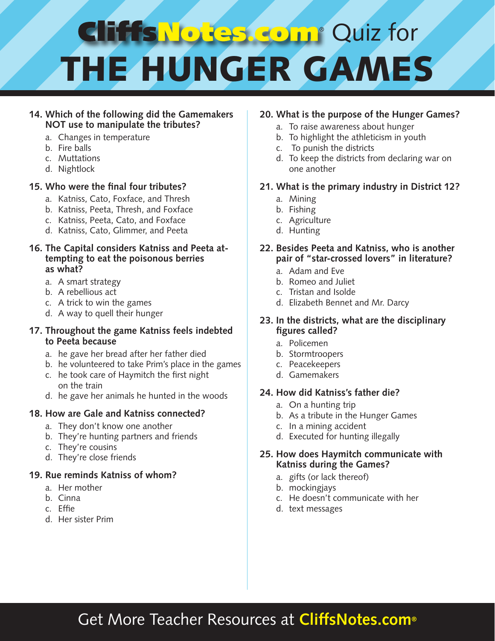# **Cliff's Notes com**® Quiz for THE HUNGER GAMES

#### **14. Which of the following did the Gamemakers NOT use to manipulate the tributes?**

- a. Changes in temperature
- b. Fire balls
- c. Muttations
- d. Nightlock

#### **15. Who were the final four tributes?**

- a. Katniss, Cato, Foxface, and Thresh
- b. Katniss, Peeta, Thresh, and Foxface
- c. Katniss, Peeta, Cato, and Foxface
- d. Katniss, Cato, Glimmer, and Peeta

#### **16. The Capital considers Katniss and Peeta attempting to eat the poisonous berries as what?**

- a. A smart strategy
- b. A rebellious act
- c. A trick to win the games
- d. A way to quell their hunger

#### **17. Throughout the game Katniss feels indebted to Peeta because**

- a. he gave her bread after her father died
- b. he volunteered to take Prim's place in the games
- c. he took care of Haymitch the first night on the train
- d. he gave her animals he hunted in the woods

## **18. How are Gale and Katniss connected?**

- a. They don't know one another
- b. They're hunting partners and friends
- c. They're cousins
- d. They're close friends

## **19. Rue reminds Katniss of whom?**

- a. Her mother
- b. Cinna
- c. Effie
- d. Her sister Prim

## **20. What is the purpose of the Hunger Games?**

- a. To raise awareness about hunger
- b. To highlight the athleticism in youth
- c. To punish the districts
- d. To keep the districts from declaring war on one another

#### **21. What is the primary industry in District 12?**

- a. Mining
- b. Fishing
- c. Agriculture
- d. Hunting

#### **22. Besides Peeta and Katniss, who is another pair of "star-crossed lovers" in literature?**

- a. Adam and Eve
- b. Romeo and Juliet
- c. Tristan and Isolde
- d. Elizabeth Bennet and Mr. Darcy

#### **23. In the districts, what are the disciplinary figures called?**

- a. Policemen
- b. Stormtroopers
- c. Peacekeepers
- d. Gamemakers

## **24. How did Katniss's father die?**

- a. On a hunting trip
- b. As a tribute in the Hunger Games
- c. In a mining accident
- d. Executed for hunting illegally

#### **25. How does Haymitch communicate with Katniss during the Games?**

- a. gifts (or lack thereof)
- b. mockingjays
- c. He doesn't communicate with her
- d. text messages

# Get More Teacher Resources at **CliffsNotes.com®**